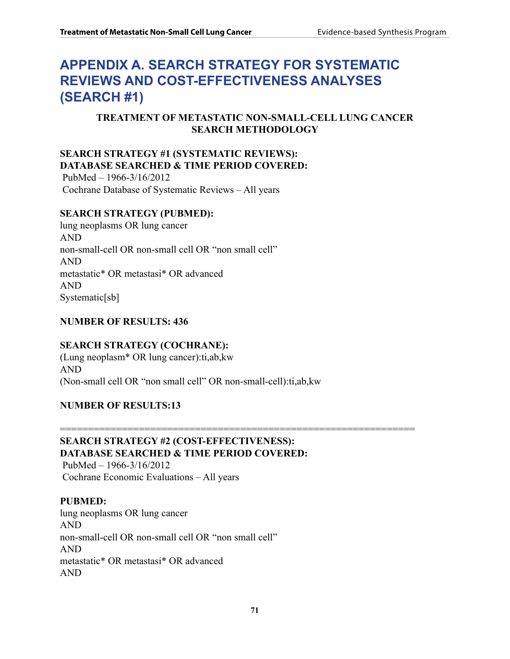# **Appendix A. Search Strategy for Systematic Reviews and Cost-Effectiveness Analyses (Search #1)**

# **TREATMENT OF METASTATIC NON-SMALL-CELL LUNG CANCER SEARCH METHODOLOGY**

# **SEARCH STRATEGY #1 (SYSTEMATIC REVIEWS): DATABASE SEARCHED & TIME PERIOD COVERED:**

 PubMed – 1966-3/16/2012 Cochrane Database of Systematic Reviews – All years

# **SEARCH STRATEGY (PUBMED):**

lung neoplasms OR lung cancer AND non-small-cell OR non-small cell OR "non small cell" AND metastatic\* OR metastasi\* OR advanced AND Systematic[sb]

# **NUMBER OF RESULTS: 436**

# **SEARCH STRATEGY (COCHRANE):**

(Lung neoplasm\* OR lung cancer):ti,ab,kw AND (Non-small cell OR "non small cell" OR non-small-cell):ti,ab,kw

#### **NUMBER OF RESULTS:13**

#### =============================================================== **SEARCH STRATEGY #2 (COST-EFFECTIVENESS): DATABASE SEARCHED & TIME PERIOD COVERED:**

 PubMed – 1966-3/16/2012 Cochrane Economic Evaluations – All years

# **PUBMED:**

lung neoplasms OR lung cancer AND non-small-cell OR non-small cell OR "non small cell" AND metastatic\* OR metastasi\* OR advanced AND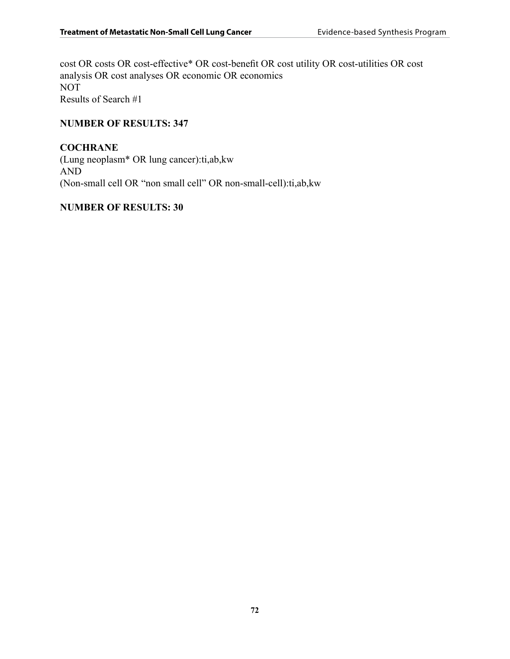cost OR costs OR cost-effective\* OR cost-benefit OR cost utility OR cost-utilities OR cost analysis OR cost analyses OR economic OR economics NOT Results of Search #1

### **NUMBER OF RESULTS: 347**

# **COCHRANE**

(Lung neoplasm\* OR lung cancer):ti,ab,kw AND (Non-small cell OR "non small cell" OR non-small-cell):ti,ab,kw

#### **NUMBER OF RESULTS: 30**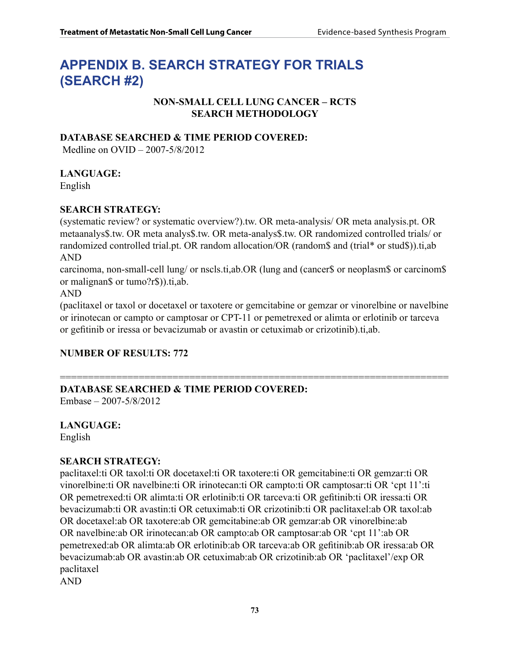# **Appendix B. Search Strategy for Trials (Search #2)**

# **NON-SMALL CELL LUNG CANCER – RCTS SEARCH METHODOLOGY**

# **DATABASE SEARCHED & TIME PERIOD COVERED:**

Medline on OVID – 2007-5/8/2012

#### **LANGUAGE:**

English

#### **SEARCH STRATEGY:**

(systematic review? or systematic overview?).tw. OR meta-analysis/ OR meta analysis.pt. OR metaanalys\$.tw. OR meta analys\$.tw. OR meta-analys\$.tw. OR randomized controlled trials/ or randomized controlled trial.pt. OR random allocation/OR (random\$ and (trial\* or stud\$)).ti,ab AND

carcinoma, non-small-cell lung/ or nscls.ti,ab.OR (lung and (cancer\$ or neoplasm\$ or carcinom\$ or malignan\$ or tumo?r\$)).ti,ab.

AND

(paclitaxel or taxol or docetaxel or taxotere or gemcitabine or gemzar or vinorelbine or navelbine or irinotecan or campto or camptosar or CPT-11 or pemetrexed or alimta or erlotinib or tarceva or gefitinib or iressa or bevacizumab or avastin or cetuximab or crizotinib).ti,ab.

# **NUMBER OF RESULTS: 772**

# ===================================================================== **DATABASE SEARCHED & TIME PERIOD COVERED:**

Embase – 2007-5/8/2012

# **LANGUAGE:**

English

# **SEARCH STRATEGY:**

paclitaxel:ti OR taxol:ti OR docetaxel:ti OR taxotere:ti OR gemcitabine:ti OR gemzar:ti OR vinorelbine:ti OR navelbine:ti OR irinotecan:ti OR campto:ti OR camptosar:ti OR 'cpt 11':ti OR pemetrexed:ti OR alimta:ti OR erlotinib:ti OR tarceva:ti OR gefitinib:ti OR iressa:ti OR bevacizumab:ti OR avastin:ti OR cetuximab:ti OR crizotinib:ti OR paclitaxel:ab OR taxol:ab OR docetaxel:ab OR taxotere:ab OR gemcitabine:ab OR gemzar:ab OR vinorelbine:ab OR navelbine:ab OR irinotecan:ab OR campto:ab OR camptosar:ab OR 'cpt 11':ab OR pemetrexed:ab OR alimta:ab OR erlotinib:ab OR tarceva:ab OR gefitinib:ab OR iressa:ab OR bevacizumab:ab OR avastin:ab OR cetuximab:ab OR crizotinib:ab OR 'paclitaxel'/exp OR paclitaxel

AND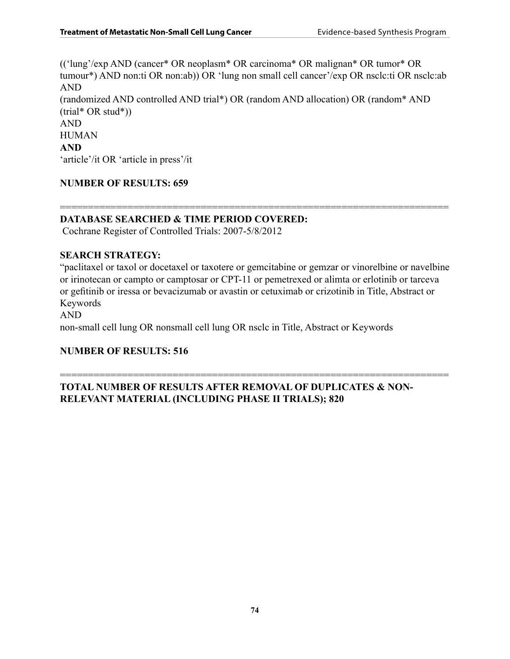(('lung'/exp AND (cancer\* OR neoplasm\* OR carcinoma\* OR malignan\* OR tumor\* OR tumour\*) AND non:ti OR non:ab)) OR 'lung non small cell cancer'/exp OR nsclc:ti OR nsclc:ab AND (randomized AND controlled AND trial\*) OR (random AND allocation) OR (random\* AND  $(trial* OR stud*))$ AND HUMAN **AND** 'article'/it OR 'article in press'/it

# **NUMBER OF RESULTS: 659**

#### ===================================================================== **DATABASE SEARCHED & TIME PERIOD COVERED:**

Cochrane Register of Controlled Trials: 2007-5/8/2012

#### **SEARCH STRATEGY:**

"paclitaxel or taxol or docetaxel or taxotere or gemcitabine or gemzar or vinorelbine or navelbine or irinotecan or campto or camptosar or CPT-11 or pemetrexed or alimta or erlotinib or tarceva or gefitinib or iressa or bevacizumab or avastin or cetuximab or crizotinib in Title, Abstract or Keywords

#### AND

non-small cell lung OR nonsmall cell lung OR nsclc in Title, Abstract or Keywords

# **NUMBER OF RESULTS: 516**

# ===================================================================== **TOTAL NUMBER OF RESULTS AFTER REMOVAL OF DUPLICATES & NON-RELEVANT MATERIAL (INCLUDING PHASE II TRIALS); 820**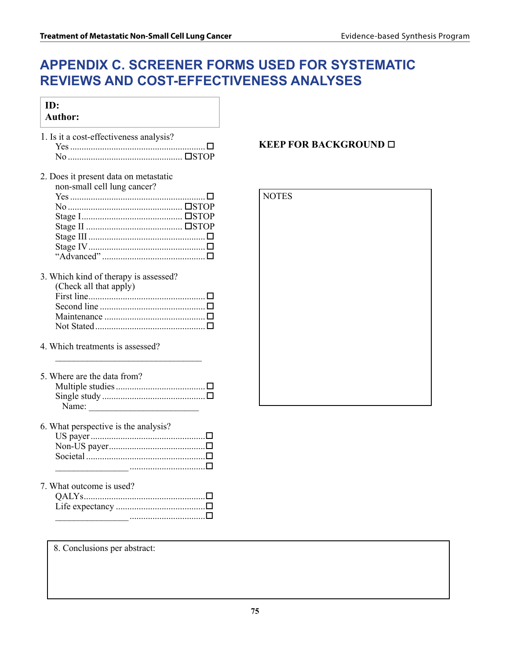# **Appendix C. Screener Forms Used for Systematic Reviews and Cost-Effectiveness Analyses**

| ID:<br><b>Author:</b>                                                                               |                              |
|-----------------------------------------------------------------------------------------------------|------------------------------|
| 1. Is it a cost-effectiveness analysis?                                                             | <b>KEEP FOR BACKGROUND □</b> |
| 2. Does it present data on metastatic<br>non-small cell lung cancer?                                | <b>NOTES</b>                 |
| 3. Which kind of therapy is assessed?<br>(Check all that apply)<br>4. Which treatments is assessed? |                              |
| 5. Where are the data from?<br>Name: $\qquad \qquad$                                                |                              |
| 6. What perspective is the analysis?                                                                |                              |
| 7. What outcome is used?                                                                            |                              |
| 8. Conclusions per abstract:                                                                        |                              |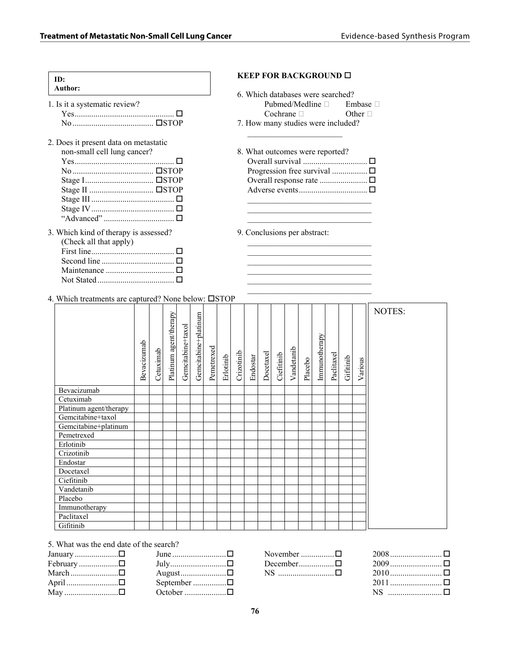| ID:<br>Author:                                                                                                                                                                                          | <b>KEEP FOR BACKGROUND</b> □                                                                                                                            |  |  |
|---------------------------------------------------------------------------------------------------------------------------------------------------------------------------------------------------------|---------------------------------------------------------------------------------------------------------------------------------------------------------|--|--|
| 1. Is it a systematic review?                                                                                                                                                                           | 6. Which databases were searched?<br>Pubmed/Medline $\square$<br>Embase $\Box$<br>$Cochrane \Box$<br>Other $\Box$<br>7. How many studies were included? |  |  |
| 2. Does it present data on metastatic<br>non-small cell lung cancer?                                                                                                                                    | 8. What outcomes were reported?<br>Overall response rate □                                                                                              |  |  |
| 3. Which kind of therapy is assessed?<br>(Check all that apply)<br>Maintenance $\ldots$ $\ldots$ $\ldots$ $\ldots$<br>Not Stated $\Box$<br>4. Which treatments are captured? None below: $\square$ STOP | 9. Conclusions per abstract:                                                                                                                            |  |  |
| ξq<br>팈                                                                                                                                                                                                 | N                                                                                                                                                       |  |  |

|                        | Bevacizumab | Cetuximab | Platinum agent/therapy | Gemcitabine+taxol | Gemcitabine+platinum | Pemetrexed | Erlotinib | Crizotinib | Endostar | Docetaxel | Ciefitinib | Vandetanib | Placebo | Immunotherapy | Paclitaxel | Gifitinib | Various | NOTES: |
|------------------------|-------------|-----------|------------------------|-------------------|----------------------|------------|-----------|------------|----------|-----------|------------|------------|---------|---------------|------------|-----------|---------|--------|
| Bevacizumab            |             |           |                        |                   |                      |            |           |            |          |           |            |            |         |               |            |           |         |        |
| Cetuximab              |             |           |                        |                   |                      |            |           |            |          |           |            |            |         |               |            |           |         |        |
| Platinum agent/therapy |             |           |                        |                   |                      |            |           |            |          |           |            |            |         |               |            |           |         |        |
| Gemcitabine+taxol      |             |           |                        |                   |                      |            |           |            |          |           |            |            |         |               |            |           |         |        |
| Gemcitabine+platinum   |             |           |                        |                   |                      |            |           |            |          |           |            |            |         |               |            |           |         |        |
| Pemetrexed             |             |           |                        |                   |                      |            |           |            |          |           |            |            |         |               |            |           |         |        |
| Erlotinib              |             |           |                        |                   |                      |            |           |            |          |           |            |            |         |               |            |           |         |        |
| Crizotinib             |             |           |                        |                   |                      |            |           |            |          |           |            |            |         |               |            |           |         |        |
| Endostar               |             |           |                        |                   |                      |            |           |            |          |           |            |            |         |               |            |           |         |        |
| Docetaxel              |             |           |                        |                   |                      |            |           |            |          |           |            |            |         |               |            |           |         |        |
| Ciefitinib             |             |           |                        |                   |                      |            |           |            |          |           |            |            |         |               |            |           |         |        |
| Vandetanib             |             |           |                        |                   |                      |            |           |            |          |           |            |            |         |               |            |           |         |        |
| Placebo                |             |           |                        |                   |                      |            |           |            |          |           |            |            |         |               |            |           |         |        |
| Immunotherapy          |             |           |                        |                   |                      |            |           |            |          |           |            |            |         |               |            |           |         |        |
| Paclitaxel             |             |           |                        |                   |                      |            |           |            |          |           |            |            |         |               |            |           |         |        |
| Gifitinib              |             |           |                        |                   |                      |            |           |            |          |           |            |            |         |               |            |           |         |        |

5. What was the end date of the search?

|                    | June $\ldots$ $\ldots$ |
|--------------------|------------------------|
| February $\square$ |                        |
|                    |                        |
| April □            | September $\square$    |
| May 口              |                        |

| November $\Box$                              |  |
|----------------------------------------------|--|
| December $\square$                           |  |
| $\overline{\text{NS}}$ $\overline{\text{N}}$ |  |

| NS   □ |  |
|--------|--|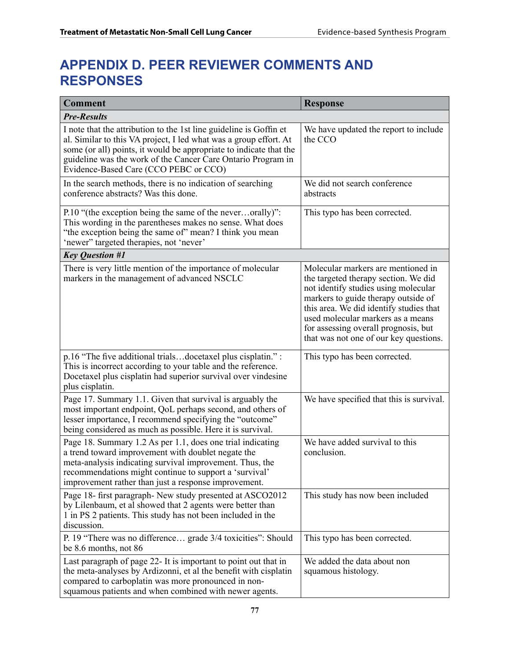# **Appendix D. Peer Reviewer Comments and Responses**

| <b>Comment</b>                                                                                                                                                                                                                                                                                                         | <b>Response</b>                                                                                                                                                                                                                                                                                                             |  |  |  |  |  |
|------------------------------------------------------------------------------------------------------------------------------------------------------------------------------------------------------------------------------------------------------------------------------------------------------------------------|-----------------------------------------------------------------------------------------------------------------------------------------------------------------------------------------------------------------------------------------------------------------------------------------------------------------------------|--|--|--|--|--|
| <b>Pre-Results</b>                                                                                                                                                                                                                                                                                                     |                                                                                                                                                                                                                                                                                                                             |  |  |  |  |  |
| I note that the attribution to the 1st line guideline is Goffin et<br>al. Similar to this VA project, I led what was a group effort. At<br>some (or all) points, it would be appropriate to indicate that the<br>guideline was the work of the Cancer Care Ontario Program in<br>Evidence-Based Care (CCO PEBC or CCO) | We have updated the report to include<br>the CCO                                                                                                                                                                                                                                                                            |  |  |  |  |  |
| In the search methods, there is no indication of searching<br>conference abstracts? Was this done.                                                                                                                                                                                                                     | We did not search conference<br>abstracts                                                                                                                                                                                                                                                                                   |  |  |  |  |  |
| P.10 "(the exception being the same of the neverorally)":<br>This wording in the parentheses makes no sense. What does<br>"the exception being the same of" mean? I think you mean<br>'newer" targeted therapies, not 'never'                                                                                          | This typo has been corrected.                                                                                                                                                                                                                                                                                               |  |  |  |  |  |
| <b>Key Question #1</b>                                                                                                                                                                                                                                                                                                 |                                                                                                                                                                                                                                                                                                                             |  |  |  |  |  |
| There is very little mention of the importance of molecular<br>markers in the management of advanced NSCLC                                                                                                                                                                                                             | Molecular markers are mentioned in<br>the targeted therapy section. We did<br>not identify studies using molecular<br>markers to guide therapy outside of<br>this area. We did identify studies that<br>used molecular markers as a means<br>for assessing overall prognosis, but<br>that was not one of our key questions. |  |  |  |  |  |
| p.16 "The five additional trialsdocetaxel plus cisplatin." :<br>This is incorrect according to your table and the reference.<br>Docetaxel plus cisplatin had superior survival over vindesine<br>plus cisplatin.                                                                                                       | This typo has been corrected.                                                                                                                                                                                                                                                                                               |  |  |  |  |  |
| Page 17. Summary 1.1. Given that survival is arguably the<br>most important endpoint, QoL perhaps second, and others of<br>lesser importance, I recommend specifying the "outcome"<br>being considered as much as possible. Here it is survival.                                                                       | We have specified that this is survival.                                                                                                                                                                                                                                                                                    |  |  |  |  |  |
| Page 18. Summary 1.2 As per 1.1, does one trial indicating<br>a trend toward improvement with doublet negate the<br>meta-analysis indicating survival improvement. Thus, the<br>recommendations might continue to support a 'survival'<br>improvement rather than just a response improvement.                         | We have added survival to this<br>conclusion.                                                                                                                                                                                                                                                                               |  |  |  |  |  |
| Page 18- first paragraph- New study presented at ASCO2012<br>by Lilenbaum, et al showed that 2 agents were better than<br>1 in PS 2 patients. This study has not been included in the<br>discussion.                                                                                                                   | This study has now been included                                                                                                                                                                                                                                                                                            |  |  |  |  |  |
| P. 19 "There was no difference grade 3/4 toxicities": Should<br>be 8.6 months, not 86                                                                                                                                                                                                                                  | This typo has been corrected.                                                                                                                                                                                                                                                                                               |  |  |  |  |  |
| Last paragraph of page 22- It is important to point out that in<br>the meta-analyses by Ardizonni, et al the benefit with cisplatin<br>compared to carboplatin was more pronounced in non-<br>squamous patients and when combined with newer agents.                                                                   | We added the data about non<br>squamous histology.                                                                                                                                                                                                                                                                          |  |  |  |  |  |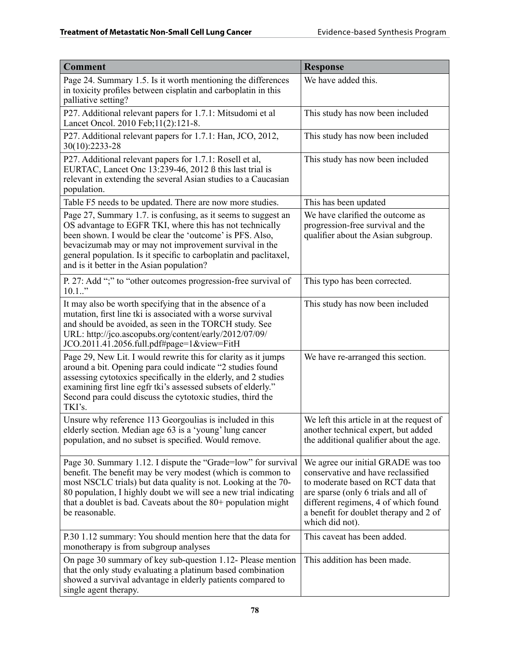| <b>Comment</b>                                                                                                                                                                                                                                                                                                                                                    | <b>Response</b>                                                                                                                                                                                                                                             |
|-------------------------------------------------------------------------------------------------------------------------------------------------------------------------------------------------------------------------------------------------------------------------------------------------------------------------------------------------------------------|-------------------------------------------------------------------------------------------------------------------------------------------------------------------------------------------------------------------------------------------------------------|
| Page 24. Summary 1.5. Is it worth mentioning the differences<br>in toxicity profiles between cisplatin and carboplatin in this<br>palliative setting?                                                                                                                                                                                                             | We have added this.                                                                                                                                                                                                                                         |
| P27. Additional relevant papers for 1.7.1: Mitsudomi et al<br>Lancet Oncol. 2010 Feb; 11(2): 121-8.                                                                                                                                                                                                                                                               | This study has now been included                                                                                                                                                                                                                            |
| P27. Additional relevant papers for 1.7.1: Han, JCO, 2012,<br>30(10):2233-28                                                                                                                                                                                                                                                                                      | This study has now been included                                                                                                                                                                                                                            |
| P27. Additional relevant papers for 1.7.1: Rosell et al,<br>EURTAC, Lancet Onc 13:239-46, 2012 ß this last trial is<br>relevant in extending the several Asian studies to a Caucasian<br>population.                                                                                                                                                              | This study has now been included                                                                                                                                                                                                                            |
| Table F5 needs to be updated. There are now more studies.                                                                                                                                                                                                                                                                                                         | This has been updated                                                                                                                                                                                                                                       |
| Page 27, Summary 1.7. is confusing, as it seems to suggest an<br>OS advantage to EGFR TKI, where this has not technically<br>been shown. I would be clear the 'outcome' is PFS. Also,<br>bevacizumab may or may not improvement survival in the<br>general population. Is it specific to carboplatin and paclitaxel,<br>and is it better in the Asian population? | We have clarified the outcome as<br>progression-free survival and the<br>qualifier about the Asian subgroup.                                                                                                                                                |
| P. 27: Add ";" to "other outcomes progression-free survival of<br>$10.1.$ "                                                                                                                                                                                                                                                                                       | This typo has been corrected.                                                                                                                                                                                                                               |
| It may also be worth specifying that in the absence of a<br>mutation, first line tki is associated with a worse survival<br>and should be avoided, as seen in the TORCH study. See<br>URL: http://jco.ascopubs.org/content/early/2012/07/09/<br>JCO.2011.41.2056.full.pdf#page=1&view=FitH                                                                        | This study has now been included                                                                                                                                                                                                                            |
| Page 29, New Lit. I would rewrite this for clarity as it jumps<br>around a bit. Opening para could indicate "2 studies found<br>assessing cytotoxics specifically in the elderly, and 2 studies<br>examining first line egfr tki's assessed subsets of elderly."<br>Second para could discuss the cytotoxic studies, third the<br>TKI's.                          | We have re-arranged this section.                                                                                                                                                                                                                           |
| Unsure why reference 113 Georgoulias is included in this<br>elderly section. Median age 63 is a 'young' lung cancer<br>population, and no subset is specified. Would remove.                                                                                                                                                                                      | We left this article in at the request of<br>another technical expert, but added<br>the additional qualifier about the age.                                                                                                                                 |
| Page 30. Summary 1.12. I dispute the "Grade=low" for survival<br>benefit. The benefit may be very modest (which is common to<br>most NSCLC trials) but data quality is not. Looking at the 70-<br>80 population, I highly doubt we will see a new trial indicating<br>that a doublet is bad. Caveats about the $80+$ population might<br>be reasonable.           | We agree our initial GRADE was too<br>conservative and have reclassified<br>to moderate based on RCT data that<br>are sparse (only 6 trials and all of<br>different regimens, 4 of which found<br>a benefit for doublet therapy and 2 of<br>which did not). |
| P.30 1.12 summary: You should mention here that the data for<br>monotherapy is from subgroup analyses                                                                                                                                                                                                                                                             | This caveat has been added.                                                                                                                                                                                                                                 |
| On page 30 summary of key sub-question 1.12- Please mention<br>that the only study evaluating a platinum based combination<br>showed a survival advantage in elderly patients compared to<br>single agent therapy.                                                                                                                                                | This addition has been made.                                                                                                                                                                                                                                |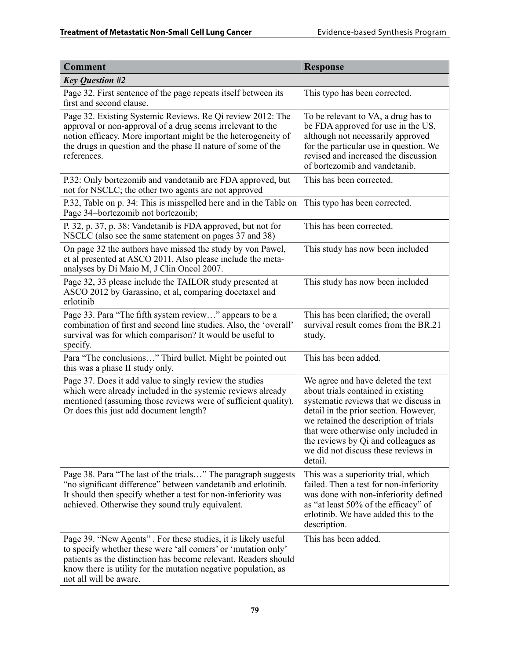| <b>Comment</b>                                                                                                                                                                                                                                                                                | <b>Response</b>                                                                                                                                                                                                                                                                                                                      |
|-----------------------------------------------------------------------------------------------------------------------------------------------------------------------------------------------------------------------------------------------------------------------------------------------|--------------------------------------------------------------------------------------------------------------------------------------------------------------------------------------------------------------------------------------------------------------------------------------------------------------------------------------|
| <b>Key Question #2</b>                                                                                                                                                                                                                                                                        |                                                                                                                                                                                                                                                                                                                                      |
| Page 32. First sentence of the page repeats itself between its<br>first and second clause.                                                                                                                                                                                                    | This typo has been corrected.                                                                                                                                                                                                                                                                                                        |
| Page 32. Existing Systemic Reviews. Re Qi review 2012: The<br>approval or non-approval of a drug seems irrelevant to the<br>notion efficacy. More important might be the heterogeneity of<br>the drugs in question and the phase II nature of some of the<br>references.                      | To be relevant to VA, a drug has to<br>be FDA approved for use in the US,<br>although not necessarily approved<br>for the particular use in question. We<br>revised and increased the discussion<br>of bortezomib and vandetanib.                                                                                                    |
| P.32: Only bortezomib and vandetanib are FDA approved, but<br>not for NSCLC; the other two agents are not approved                                                                                                                                                                            | This has been corrected.                                                                                                                                                                                                                                                                                                             |
| P.32, Table on p. 34: This is misspelled here and in the Table on<br>Page 34=bortezomib not bortezonib;                                                                                                                                                                                       | This typo has been corrected.                                                                                                                                                                                                                                                                                                        |
| P. 32, p. 37, p. 38: Vandetanib is FDA approved, but not for<br>NSCLC (also see the same statement on pages 37 and 38)                                                                                                                                                                        | This has been corrected.                                                                                                                                                                                                                                                                                                             |
| On page 32 the authors have missed the study by von Pawel,<br>et al presented at ASCO 2011. Also please include the meta-<br>analyses by Di Maio M, J Clin Oncol 2007.                                                                                                                        | This study has now been included                                                                                                                                                                                                                                                                                                     |
| Page 32, 33 please include the TAILOR study presented at<br>ASCO 2012 by Garassino, et al, comparing docetaxel and<br>erlotinib                                                                                                                                                               | This study has now been included                                                                                                                                                                                                                                                                                                     |
| Page 33. Para "The fifth system review" appears to be a<br>combination of first and second line studies. Also, the 'overall'<br>survival was for which comparison? It would be useful to<br>specify.                                                                                          | This has been clarified; the overall<br>survival result comes from the BR.21<br>study.                                                                                                                                                                                                                                               |
| Para "The conclusions" Third bullet. Might be pointed out<br>this was a phase II study only.                                                                                                                                                                                                  | This has been added.                                                                                                                                                                                                                                                                                                                 |
| Page 37. Does it add value to singly review the studies<br>which were already included in the systemic reviews already<br>mentioned (assuming those reviews were of sufficient quality).<br>Or does this just add document length?                                                            | We agree and have deleted the text<br>about trials contained in existing<br>systematic reviews that we discuss in<br>detail in the prior section. However,<br>we retained the description of trials<br>that were otherwise only included in<br>the reviews by Qi and colleagues as<br>we did not discuss these reviews in<br>detail. |
| Page 38. Para "The last of the trials" The paragraph suggests<br>"no significant difference" between vandetanib and erlotinib.<br>It should then specify whether a test for non-inferiority was<br>achieved. Otherwise they sound truly equivalent.                                           | This was a superiority trial, which<br>failed. Then a test for non-inferiority<br>was done with non-inferiority defined<br>as "at least 50% of the efficacy" of<br>erlotinib. We have added this to the<br>description.                                                                                                              |
| Page 39. "New Agents". For these studies, it is likely useful<br>to specify whether these were 'all comers' or 'mutation only'<br>patients as the distinction has become relevant. Readers should<br>know there is utility for the mutation negative population, as<br>not all will be aware. | This has been added.                                                                                                                                                                                                                                                                                                                 |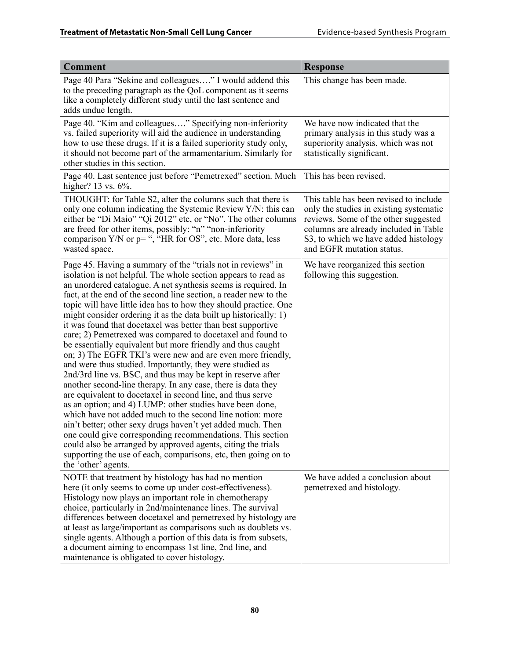| <b>Comment</b>                                                                                                                                                                                                                                                                                                                                                                                                                                                                                                                                                                                                                                                                                                                                                                                                                                                                                                                                                                                                                                                                                                                                                                                                                                                                                                                               | <b>Response</b>                                                                                                                                                                                                                         |
|----------------------------------------------------------------------------------------------------------------------------------------------------------------------------------------------------------------------------------------------------------------------------------------------------------------------------------------------------------------------------------------------------------------------------------------------------------------------------------------------------------------------------------------------------------------------------------------------------------------------------------------------------------------------------------------------------------------------------------------------------------------------------------------------------------------------------------------------------------------------------------------------------------------------------------------------------------------------------------------------------------------------------------------------------------------------------------------------------------------------------------------------------------------------------------------------------------------------------------------------------------------------------------------------------------------------------------------------|-----------------------------------------------------------------------------------------------------------------------------------------------------------------------------------------------------------------------------------------|
| Page 40 Para "Sekine and colleagues" I would addend this<br>to the preceding paragraph as the QoL component as it seems<br>like a completely different study until the last sentence and<br>adds undue length.                                                                                                                                                                                                                                                                                                                                                                                                                                                                                                                                                                                                                                                                                                                                                                                                                                                                                                                                                                                                                                                                                                                               | This change has been made.                                                                                                                                                                                                              |
| Page 40. "Kim and colleagues" Specifying non-inferiority<br>vs. failed superiority will aid the audience in understanding<br>how to use these drugs. If it is a failed superiority study only,<br>it should not become part of the armamentarium. Similarly for<br>other studies in this section.                                                                                                                                                                                                                                                                                                                                                                                                                                                                                                                                                                                                                                                                                                                                                                                                                                                                                                                                                                                                                                            | We have now indicated that the<br>primary analysis in this study was a<br>superiority analysis, which was not<br>statistically significant.                                                                                             |
| Page 40. Last sentence just before "Pemetrexed" section. Much<br>higher? 13 vs. 6%.                                                                                                                                                                                                                                                                                                                                                                                                                                                                                                                                                                                                                                                                                                                                                                                                                                                                                                                                                                                                                                                                                                                                                                                                                                                          | This has been revised.                                                                                                                                                                                                                  |
| THOUGHT: for Table S2, alter the columns such that there is<br>only one column indicating the Systemic Review Y/N: this can<br>either be "Di Maio" "Qi 2012" etc, or "No". The other columns<br>are freed for other items, possibly: "n" "non-inferiority<br>comparison $Y/N$ or $p =$ ", "HR for OS", etc. More data, less<br>wasted space.                                                                                                                                                                                                                                                                                                                                                                                                                                                                                                                                                                                                                                                                                                                                                                                                                                                                                                                                                                                                 | This table has been revised to include<br>only the studies in existing systematic<br>reviews. Some of the other suggested<br>columns are already included in Table<br>S3, to which we have added histology<br>and EGFR mutation status. |
| Page 45. Having a summary of the "trials not in reviews" in<br>isolation is not helpful. The whole section appears to read as<br>an unordered catalogue. A net synthesis seems is required. In<br>fact, at the end of the second line section, a reader new to the<br>topic will have little idea has to how they should practice. One<br>might consider ordering it as the data built up historically: 1)<br>it was found that docetaxel was better than best supportive<br>care; 2) Pemetrexed was compared to docetaxel and found to<br>be essentially equivalent but more friendly and thus caught<br>on; 3) The EGFR TKI's were new and are even more friendly,<br>and were thus studied. Importantly, they were studied as<br>2nd/3rd line vs. BSC, and thus may be kept in reserve after<br>another second-line therapy. In any case, there is data they<br>are equivalent to docetaxel in second line, and thus serve<br>as an option; and 4) LUMP: other studies have been done,<br>which have not added much to the second line notion: more<br>ain't better; other sexy drugs haven't yet added much. Then<br>one could give corresponding recommendations. This section<br>could also be arranged by approved agents, citing the trials<br>supporting the use of each, comparisons, etc, then going on to<br>the 'other' agents. | We have reorganized this section<br>following this suggestion.                                                                                                                                                                          |
| NOTE that treatment by histology has had no mention<br>here (it only seems to come up under cost-effectiveness).<br>Histology now plays an important role in chemotherapy<br>choice, particularly in 2nd/maintenance lines. The survival<br>differences between docetaxel and pemetrexed by histology are<br>at least as large/important as comparisons such as doublets vs.<br>single agents. Although a portion of this data is from subsets,<br>a document aiming to encompass 1st line, 2nd line, and<br>maintenance is obligated to cover histology.                                                                                                                                                                                                                                                                                                                                                                                                                                                                                                                                                                                                                                                                                                                                                                                    | We have added a conclusion about<br>pemetrexed and histology.                                                                                                                                                                           |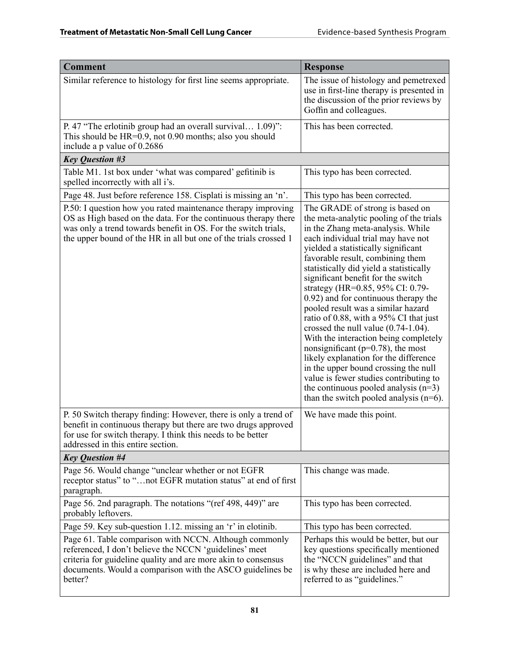| <b>Comment</b>                                                                                                                                                                                                                                                       | <b>Response</b>                                                                                                                                                                                                                                                                                                                                                                                                                                                                                                                                                                                                                                                                                                                                                                                                             |
|----------------------------------------------------------------------------------------------------------------------------------------------------------------------------------------------------------------------------------------------------------------------|-----------------------------------------------------------------------------------------------------------------------------------------------------------------------------------------------------------------------------------------------------------------------------------------------------------------------------------------------------------------------------------------------------------------------------------------------------------------------------------------------------------------------------------------------------------------------------------------------------------------------------------------------------------------------------------------------------------------------------------------------------------------------------------------------------------------------------|
| Similar reference to histology for first line seems appropriate.                                                                                                                                                                                                     | The issue of histology and pemetrexed<br>use in first-line therapy is presented in<br>the discussion of the prior reviews by<br>Goffin and colleagues.                                                                                                                                                                                                                                                                                                                                                                                                                                                                                                                                                                                                                                                                      |
| P. 47 "The erlotinib group had an overall survival 1.09)":<br>This should be HR=0.9, not 0.90 months; also you should<br>include a p value of 0.2686                                                                                                                 | This has been corrected.                                                                                                                                                                                                                                                                                                                                                                                                                                                                                                                                                                                                                                                                                                                                                                                                    |
| <b>Key Question #3</b>                                                                                                                                                                                                                                               |                                                                                                                                                                                                                                                                                                                                                                                                                                                                                                                                                                                                                                                                                                                                                                                                                             |
| Table M1. 1st box under 'what was compared' gefitinib is<br>spelled incorrectly with all i's.                                                                                                                                                                        | This typo has been corrected.                                                                                                                                                                                                                                                                                                                                                                                                                                                                                                                                                                                                                                                                                                                                                                                               |
| Page 48. Just before reference 158. Cisplati is missing an 'n'.                                                                                                                                                                                                      | This typo has been corrected.                                                                                                                                                                                                                                                                                                                                                                                                                                                                                                                                                                                                                                                                                                                                                                                               |
| P.50: I question how you rated maintenance therapy improving<br>OS as High based on the data. For the continuous therapy there<br>was only a trend towards benefit in OS. For the switch trials,<br>the upper bound of the HR in all but one of the trials crossed 1 | The GRADE of strong is based on<br>the meta-analytic pooling of the trials<br>in the Zhang meta-analysis. While<br>each individual trial may have not<br>yielded a statistically significant<br>favorable result, combining them<br>statistically did yield a statistically<br>significant benefit for the switch<br>strategy (HR=0.85, 95% CI: 0.79-<br>0.92) and for continuous therapy the<br>pooled result was a similar hazard<br>ratio of 0.88, with a 95% CI that just<br>crossed the null value $(0.74-1.04)$ .<br>With the interaction being completely<br>nonsignificant ( $p=0.78$ ), the most<br>likely explanation for the difference<br>in the upper bound crossing the null<br>value is fewer studies contributing to<br>the continuous pooled analysis $(n=3)$<br>than the switch pooled analysis $(n=6)$ . |
| P. 50 Switch therapy finding: However, there is only a trend of<br>benefit in continuous therapy but there are two drugs approved<br>for use for switch therapy. I think this needs to be better<br>addressed in this entire section.                                | We have made this point.                                                                                                                                                                                                                                                                                                                                                                                                                                                                                                                                                                                                                                                                                                                                                                                                    |
| <b>Key Question #4</b>                                                                                                                                                                                                                                               |                                                                                                                                                                                                                                                                                                                                                                                                                                                                                                                                                                                                                                                                                                                                                                                                                             |
| Page 56. Would change "unclear whether or not EGFR<br>receptor status" to "not EGFR mutation status" at end of first<br>paragraph.                                                                                                                                   | This change was made.                                                                                                                                                                                                                                                                                                                                                                                                                                                                                                                                                                                                                                                                                                                                                                                                       |
| Page 56. 2nd paragraph. The notations "(ref 498, 449)" are<br>probably leftovers.                                                                                                                                                                                    | This typo has been corrected.                                                                                                                                                                                                                                                                                                                                                                                                                                                                                                                                                                                                                                                                                                                                                                                               |
| Page 59. Key sub-question 1.12. missing an 'r' in elotinib.                                                                                                                                                                                                          | This typo has been corrected.                                                                                                                                                                                                                                                                                                                                                                                                                                                                                                                                                                                                                                                                                                                                                                                               |
| Page 61. Table comparison with NCCN. Although commonly<br>referenced, I don't believe the NCCN 'guidelines' meet<br>criteria for guideline quality and are more akin to consensus<br>documents. Would a comparison with the ASCO guidelines be<br>better?            | Perhaps this would be better, but our<br>key questions specifically mentioned<br>the "NCCN guidelines" and that<br>is why these are included here and<br>referred to as "guidelines."                                                                                                                                                                                                                                                                                                                                                                                                                                                                                                                                                                                                                                       |